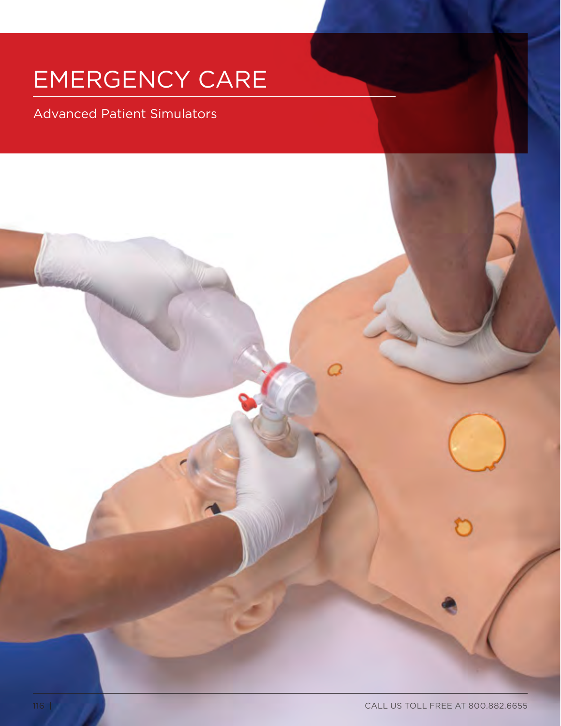# EMERGENCY CARE

Advanced Patient Simulators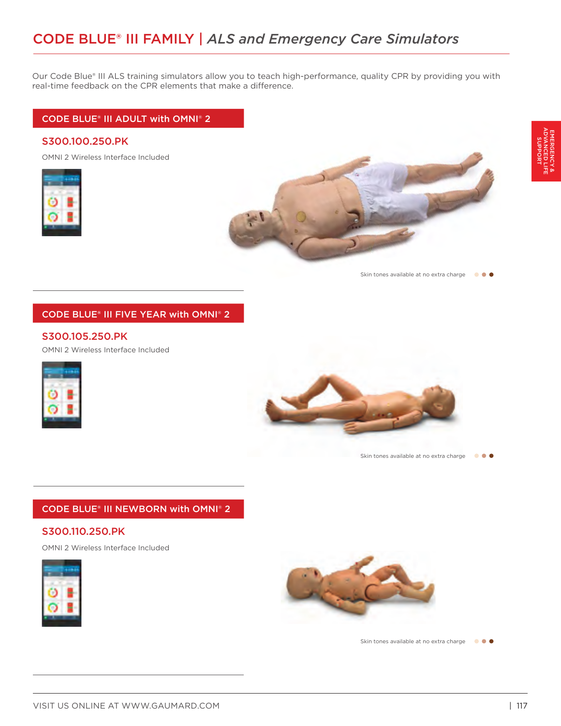Our Code Blue® III ALS training simulators allow you to teach high-performance, quality CPR by providing you with real-time feedback on the CPR elements that make a difference.

### CODE BLUE® III ADULT with OMNI® 2

## S300.100.250.PK

OMNI 2 Wireless Interface Included





Skin tones available at no extra charge  $\bullet \bullet \bullet$ 

## CODE BLUE® III FIVE YEAR with OMNI® 2

#### S300.105.250.PK

OMNI 2 Wireless Interface Included





## CODE BLUE® III NEWBORN with OMNI® 2

## S300.110.250.PK

OMNI 2 Wireless Interface Included





Skin tones available at no extra charge  $\bullet \bullet \bullet$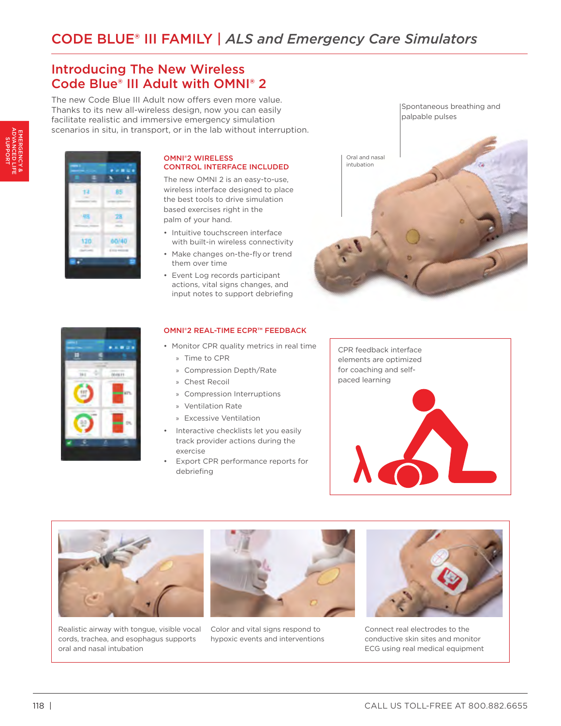## Introducing The New Wireless Code Blue® III Adult with OMNI® 2

The new Code Blue III Adult now offers even more value. Thanks to its new all-wireless design, now you can easily facilitate realistic and immersive emergency simulation scenarios in situ, in transport, or in the lab without interruption.



#### OMNI®2 WIRELESS CONTROL INTERFACE INCLUDED

The new OMNI 2 is an easy-to-use, wireless interface designed to place the best tools to drive simulation based exercises right in the palm of your hand.

- Intuitive touchscreen interface with built-in wireless connectivity
- Make changes on-the-flyor trend them over time
- Event Log records participant actions, vital signs changes, and input notes to support debriefing





#### OMNI®2 REAL-TIME ECPR™ FEEDBACK

- Monitor CPR quality metrics in real time
	- » Time to CPR
	- » Compression Depth/Rate
	- » Chest Recoil
	- » Compression Interruptions
	- » Ventilation Rate
	- » Excessive Ventilation
- Interactive checklists let you easily track provider actions during the exercise
- Export CPR performance reports for debriefing





Realistic airway with tongue, visible vocal cords, trachea, and esophagus supports oral and nasal intubation



Color and vital signs respond to hypoxic events and interventions



Connect real electrodes to the conductive skin sites and monitor ECG using real medical equipment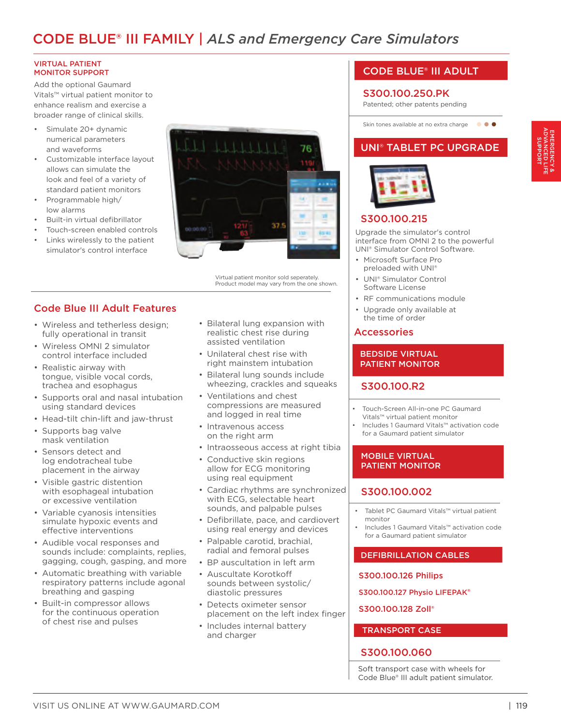## CODE BLUE® III FAMILY | *ALS and Emergency Care Simulators*

#### VIRTUAL PATIENT MONITOR SUPPORT

Add the optional Gaumard Vitals™ virtual patient monitor to enhance realism and exercise a broader range of clinical skills.

- Simulate 20+ dynamic numerical parameters and waveforms
- Customizable interface layout allows can simulate the look and feel of a variety of standard patient monitors
- Programmable high/ low alarms
- Built-in virtual defibrillator
- Touch-screen enabled controls
- Links wirelessly to the patient simulator's control interface



Virtual patient monitor sold seperately. Product model may vary from the one shown.

- Code Blue III Adult Features
- Wireless and tetherless design; fully operational in transit
- Wireless OMNI 2 simulator control interface included
- Realistic airway with tongue, visible vocal cords, trachea and esophagus
- Supports oral and nasal intubation using standard devices
- Head-tilt chin-lift and jaw-thrust
- Supports bag valve mask ventilation
- Sensors detect and log endotracheal tube placement in the airway
- Visible gastric distention with esophageal intubation or excessive ventilation
- Variable cyanosis intensities simulate hypoxic events and effective interventions
- Audible vocal responses and sounds include: complaints, replies, gagging, cough, gasping, and more
- Automatic breathing with variable respiratory patterns include agonal breathing and gasping
- Built-in compressor allows for the continuous operation of chest rise and pulses
- Bilateral lung expansion with realistic chest rise during assisted ventilation
- Unilateral chest rise with right mainstem intubation
- Bilateral lung sounds include wheezing, crackles and squeaks
- Ventilations and chest compressions are measured and logged in real time
- Intravenous access on the right arm
- Intraosseous access at right tibia
- Conductive skin regions allow for ECG monitoring using real equipment
- Cardiac rhythms are synchronized with ECG, selectable heart sounds, and palpable pulses
- Defibrillate, pace, and cardiovert using real energy and devices
- Palpable carotid, brachial, radial and femoral pulses
- BP auscultation in left arm
- Auscultate Korotkoff sounds between systolic/ diastolic pressures
- Detects oximeter sensor placement on the left index finger
- Includes internal battery and charger

## CODE BLUE® III ADULT

#### S300.100.250.PK

Patented; other patents pending



## UNI® TABLET PC UPGRADE



## S300.100.215

Upgrade the simulator's control interface from OMNI 2 to the powerful UNI® Simulator Control Software.

- Microsoft Surface Pro preloaded with UNI®
- UNI® Simulator Control Software License
- RF communications module
- Upgrade only available at the time of order

## Accessories

#### BEDSIDE VIRTUAL PATIENT MONITOR

## S300.100.R2

- Touch-Screen All-in-one PC Gaumard Vitals™ virtual patient monitor
- Includes 1 Gaumard Vitals™ activation code for a Gaumard patient simulator

#### MOBILE VIRTUAL PATIENT MONITOR

## S300.100.002

- Tablet PC Gaumard Vitals™ virtual patient monitor
- Includes 1 Gaumard Vitals™ activation code for a Gaumard patient simulator

#### DEFIBRILLATION CABLES

#### S300.100.126 Philips

S300.100.127 Physio LIFEPAK®

#### S300.100.128 Zoll®

#### TRANSPORT CASE

### S300.100.060

Soft transport case with wheels for Code Blue® III adult patient simulator.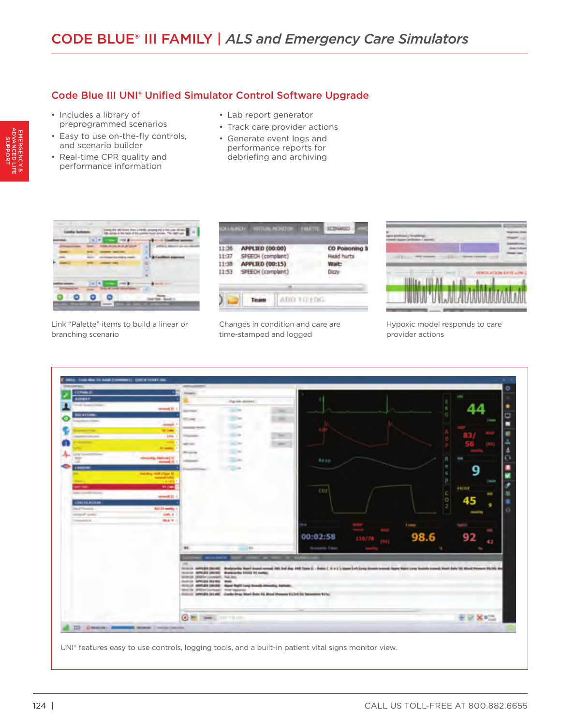## Code Blue III UNI® Unified Simulator Control Software Upgrade

- Includes a library of preprogrammed scenarios
- Easy to use on-the-fly controls, and scenario builder
- Real-time CPR quality and performance information
- Lab report generator
- Track care provider actions
- Generate event logs and performance reports for debriefing and archiving



Link "Palette" items to build a linear or branching scenario



Changes in condition and care are time-stamped and logged



Hypoxic model responds to care provider actions